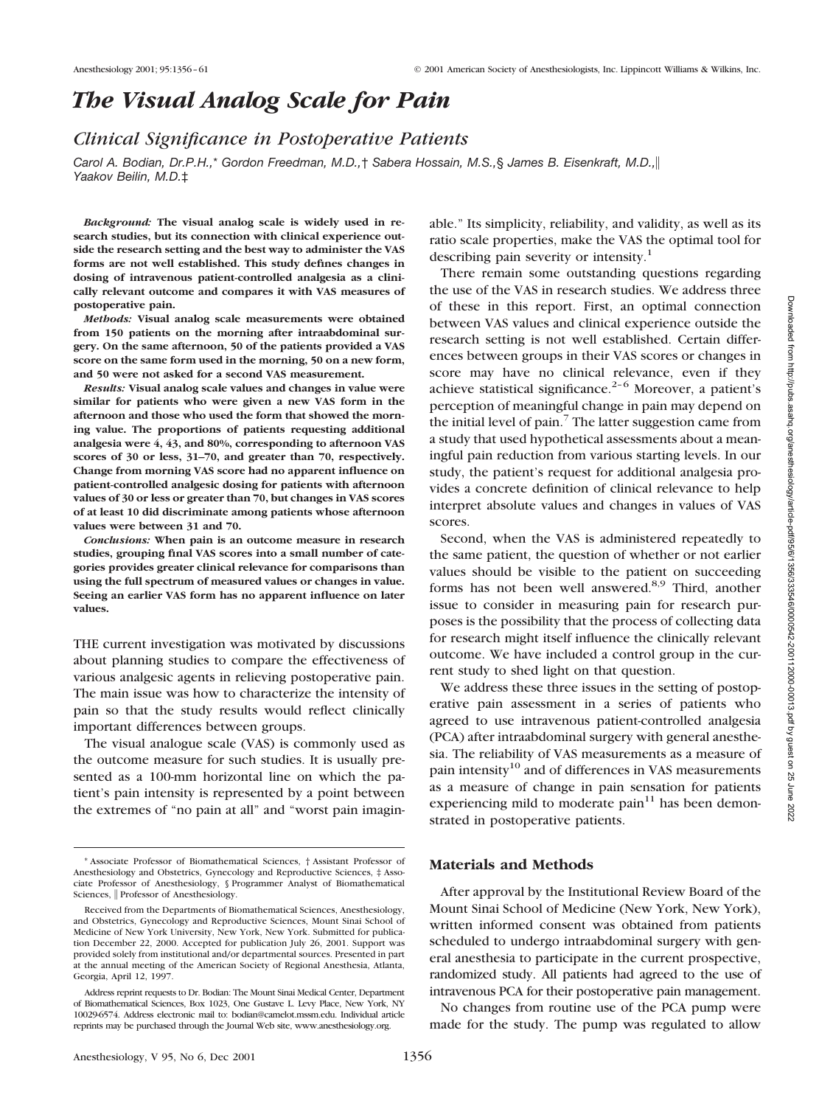# *The Visual Analog Scale for Pain*

## *Clinical Significance in Postoperative Patients*

*Carol A. Bodian, Dr.P.H.,*\* *Gordon Freedman, M.D.,*† *Sabera Hossain, M.S.,*§ *James B. Eisenkraft, M.D., Yaakov Beilin, M.D.*‡

*Background:* **The visual analog scale is widely used in research studies, but its connection with clinical experience outside the research setting and the best way to administer the VAS forms are not well established. This study defines changes in dosing of intravenous patient-controlled analgesia as a clinically relevant outcome and compares it with VAS measures of postoperative pain.**

*Methods:* **Visual analog scale measurements were obtained from 150 patients on the morning after intraabdominal surgery. On the same afternoon, 50 of the patients provided a VAS score on the same form used in the morning, 50 on a new form, and 50 were not asked for a second VAS measurement.**

*Results:* **Visual analog scale values and changes in value were similar for patients who were given a new VAS form in the afternoon and those who used the form that showed the morning value. The proportions of patients requesting additional analgesia were 4, 43, and 80%, corresponding to afternoon VAS scores of 30 or less, 31–70, and greater than 70, respectively. Change from morning VAS score had no apparent influence on patient-controlled analgesic dosing for patients with afternoon values of 30 or less or greater than 70, but changes in VAS scores of at least 10 did discriminate among patients whose afternoon values were between 31 and 70.**

*Conclusions:* **When pain is an outcome measure in research studies, grouping final VAS scores into a small number of categories provides greater clinical relevance for comparisons than using the full spectrum of measured values or changes in value. Seeing an earlier VAS form has no apparent influence on later values.**

THE current investigation was motivated by discussions about planning studies to compare the effectiveness of various analgesic agents in relieving postoperative pain. The main issue was how to characterize the intensity of pain so that the study results would reflect clinically important differences between groups.

The visual analogue scale (VAS) is commonly used as the outcome measure for such studies. It is usually presented as a 100-mm horizontal line on which the patient's pain intensity is represented by a point between the extremes of "no pain at all" and "worst pain imaginable." Its simplicity, reliability, and validity, as well as its ratio scale properties, make the VAS the optimal tool for describing pain severity or intensity.<sup>1</sup>

There remain some outstanding questions regarding the use of the VAS in research studies. We address three of these in this report. First, an optimal connection between VAS values and clinical experience outside the research setting is not well established. Certain differences between groups in their VAS scores or changes in score may have no clinical relevance, even if they achieve statistical significance. $2-6$  Moreover, a patient's perception of meaningful change in pain may depend on the initial level of pain.<sup>7</sup> The latter suggestion came from a study that used hypothetical assessments about a meaningful pain reduction from various starting levels. In our study, the patient's request for additional analgesia provides a concrete definition of clinical relevance to help interpret absolute values and changes in values of VAS scores.

Second, when the VAS is administered repeatedly to the same patient, the question of whether or not earlier values should be visible to the patient on succeeding forms has not been well answered.<sup>8,9</sup> Third, another issue to consider in measuring pain for research purposes is the possibility that the process of collecting data for research might itself influence the clinically relevant outcome. We have included a control group in the current study to shed light on that question.

We address these three issues in the setting of postoperative pain assessment in a series of patients who agreed to use intravenous patient-controlled analgesia (PCA) after intraabdominal surgery with general anesthesia. The reliability of VAS measurements as a measure of pain intensity $10$  and of differences in VAS measurements as a measure of change in pain sensation for patients experiencing mild to moderate  $\operatorname{pain}^{11}$  has been demonstrated in postoperative patients.

#### **Materials and Methods**

After approval by the Institutional Review Board of the Mount Sinai School of Medicine (New York, New York), written informed consent was obtained from patients scheduled to undergo intraabdominal surgery with general anesthesia to participate in the current prospective, randomized study. All patients had agreed to the use of intravenous PCA for their postoperative pain management.

No changes from routine use of the PCA pump were made for the study. The pump was regulated to allow

<sup>\*</sup> Associate Professor of Biomathematical Sciences, † Assistant Professor of Anesthesiology and Obstetrics, Gynecology and Reproductive Sciences, ‡ Associate Professor of Anesthesiology, § Programmer Analyst of Biomathematical Sciences, || Professor of Anesthesiology.

Received from the Departments of Biomathematical Sciences, Anesthesiology, and Obstetrics, Gynecology and Reproductive Sciences, Mount Sinai School of Medicine of New York University, New York, New York. Submitted for publication December 22, 2000. Accepted for publication July 26, 2001. Support was provided solely from institutional and/or departmental sources. Presented in part at the annual meeting of the American Society of Regional Anesthesia, Atlanta, Georgia, April 12, 1997.

Address reprint requests to Dr. Bodian: The Mount Sinai Medical Center, Department of Biomathematical Sciences, Box 1023, One Gustave L. Levy Place, New York, NY 10029-6574. Address electronic mail to: bodian@camelot.mssm.edu. Individual article reprints may be purchased through the Journal Web site, www.anesthesiology.org.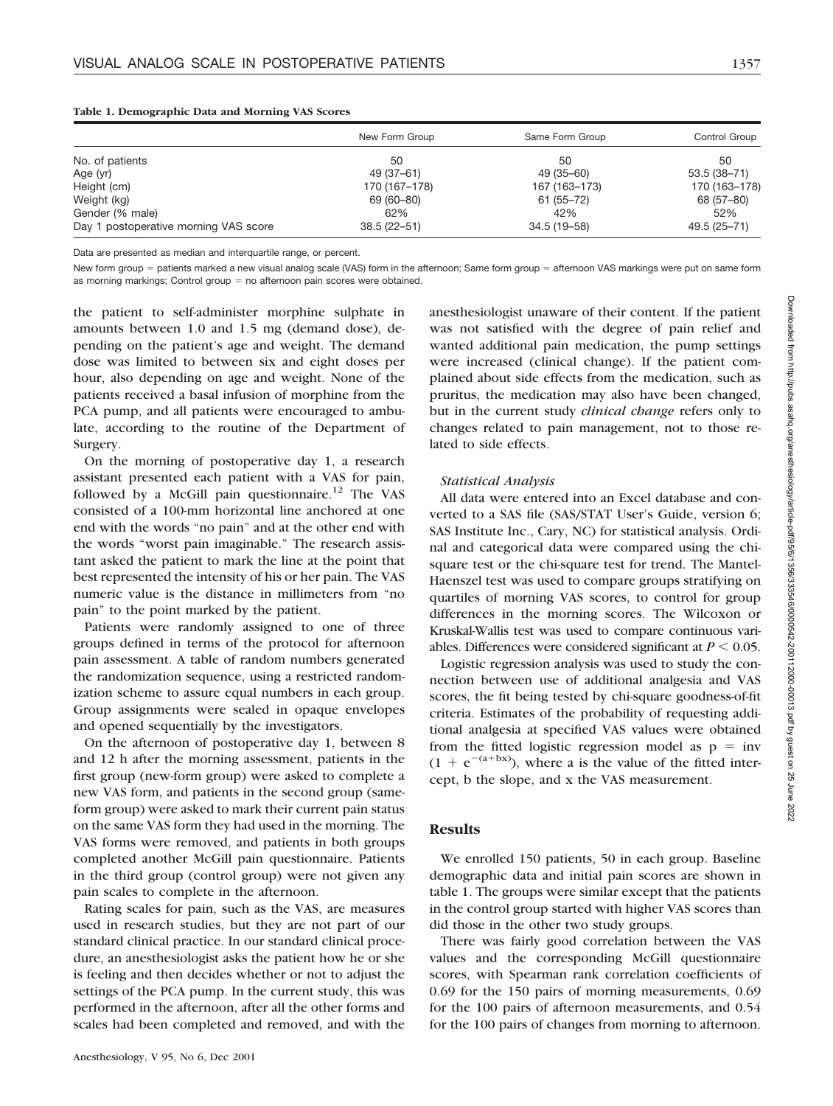|                                       | New Form Group  | Same Form Group | Control Group   |
|---------------------------------------|-----------------|-----------------|-----------------|
| No. of patients                       | 50              | 50              | 50              |
| Age (yr)                              | 49 (37-61)      | 49 (35–60)      | $53.5(38 - 71)$ |
| Height (cm)                           | 170 (167-178)   | 167 (163–173)   | 170 (163-178)   |
| Weight (kg)                           | 69 (60-80)      | 61 (55–72)      | 68 (57-80)      |
| Gender (% male)                       | 62%             | 42%             | 52%             |
| Day 1 postoperative morning VAS score | $38.5(22 - 51)$ | 34.5 (19 - 58)  | 49.5 (25–71)    |

**Table 1. Demographic Data and Morning VAS Scores**

Data are presented as median and interquartile range, or percent.

New form group = patients marked a new visual analog scale (VAS) form in the afternoon; Same form group = afternoon VAS markings were put on same form as morning markings; Control group = no afternoon pain scores were obtained.

the patient to self-administer morphine sulphate in amounts between 1.0 and 1.5 mg (demand dose), depending on the patient's age and weight. The demand dose was limited to between six and eight doses per hour, also depending on age and weight. None of the patients received a basal infusion of morphine from the PCA pump, and all patients were encouraged to ambulate, according to the routine of the Department of Surgery.

On the morning of postoperative day 1, a research assistant presented each patient with a VAS for pain, followed by a McGill pain questionnaire.<sup>12</sup> The VAS consisted of a 100-mm horizontal line anchored at one end with the words "no pain" and at the other end with the words "worst pain imaginable." The research assistant asked the patient to mark the line at the point that best represented the intensity of his or her pain. The VAS numeric value is the distance in millimeters from "no pain" to the point marked by the patient.

Patients were randomly assigned to one of three groups defined in terms of the protocol for afternoon pain assessment. A table of random numbers generated the randomization sequence, using a restricted randomization scheme to assure equal numbers in each group. Group assignments were sealed in opaque envelopes and opened sequentially by the investigators.

On the afternoon of postoperative day 1, between 8 and 12 h after the morning assessment, patients in the first group (new-form group) were asked to complete a new VAS form, and patients in the second group (sameform group) were asked to mark their current pain status on the same VAS form they had used in the morning. The VAS forms were removed, and patients in both groups completed another McGill pain questionnaire. Patients in the third group (control group) were not given any pain scales to complete in the afternoon.

Rating scales for pain, such as the VAS, are measures used in research studies, but they are not part of our standard clinical practice. In our standard clinical procedure, an anesthesiologist asks the patient how he or she is feeling and then decides whether or not to adjust the settings of the PCA pump. In the current study, this was performed in the afternoon, after all the other forms and scales had been completed and removed, and with the

anesthesiologist unaware of their content. If the patient was not satisfied with the degree of pain relief and wanted additional pain medication, the pump settings were increased (clinical change). If the patient complained about side effects from the medication, such as pruritus, the medication may also have been changed, but in the current study *clinical change* refers only to changes related to pain management, not to those related to side effects.

#### *Statistical Analysis*

All data were entered into an Excel database and converted to a SAS file (SAS/STAT User's Guide, version 6; SAS Institute Inc., Cary, NC) for statistical analysis. Ordinal and categorical data were compared using the chisquare test or the chi-square test for trend. The Mantel-Haenszel test was used to compare groups stratifying on quartiles of morning VAS scores, to control for group differences in the morning scores. The Wilcoxon or Kruskal-Wallis test was used to compare continuous variables. Differences were considered significant at  $P \leq 0.05$ .

Logistic regression analysis was used to study the connection between use of additional analgesia and VAS scores, the fit being tested by chi-square goodness-of-fit criteria. Estimates of the probability of requesting additional analgesia at specified VAS values were obtained from the fitted logistic regression model as  $p = inv$  $(1 + e^{-(a+bx)})$ , where a is the value of the fitted intercept, b the slope, and x the VAS measurement.

#### **Results**

We enrolled 150 patients, 50 in each group. Baseline demographic data and initial pain scores are shown in table 1. The groups were similar except that the patients in the control group started with higher VAS scores than did those in the other two study groups.

There was fairly good correlation between the VAS values and the corresponding McGill questionnaire scores, with Spearman rank correlation coefficients of 0.69 for the 150 pairs of morning measurements, 0.69 for the 100 pairs of afternoon measurements, and 0.54 for the 100 pairs of changes from morning to afternoon.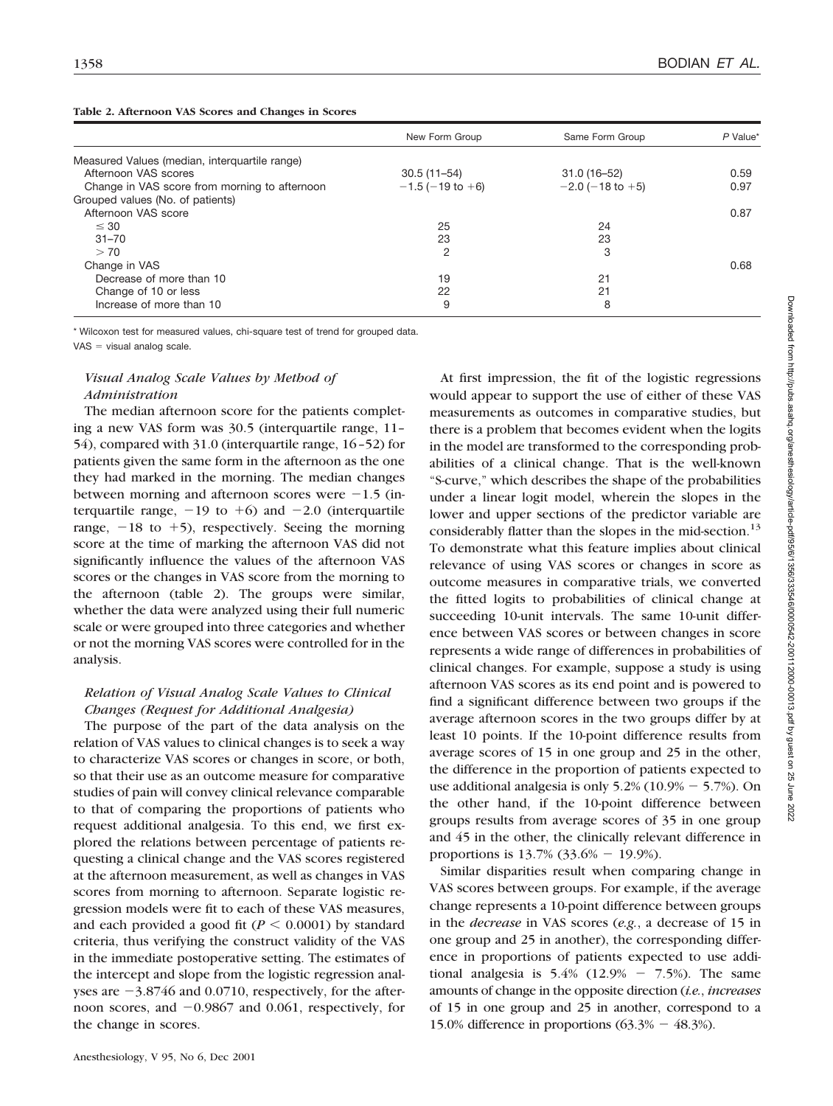|                                               | New Form Group           | Same Form Group          | P Value* |
|-----------------------------------------------|--------------------------|--------------------------|----------|
| Measured Values (median, interquartile range) |                          |                          |          |
| Afternoon VAS scores                          | $30.5(11 - 54)$          | $31.0(16 - 52)$          | 0.59     |
| Change in VAS score from morning to afternoon | $-1.5$ ( $-19$ to $+6$ ) | $-2.0$ ( $-18$ to $+5$ ) | 0.97     |
| Grouped values (No. of patients)              |                          |                          |          |
| Afternoon VAS score                           |                          |                          | 0.87     |
| $\leq 30$                                     | 25                       | 24                       |          |
| $31 - 70$                                     | 23                       | 23                       |          |
| > 70                                          | $\overline{2}$           | 3                        |          |
| Change in VAS                                 |                          |                          | 0.68     |
| Decrease of more than 10                      | 19                       | 21                       |          |
| Change of 10 or less                          | 22                       | 21                       |          |
| Increase of more than 10                      | 9                        | 8                        |          |

|  |  | Table 2. Afternoon VAS Scores and Changes in Scores |  |  |  |  |  |  |
|--|--|-----------------------------------------------------|--|--|--|--|--|--|
|--|--|-----------------------------------------------------|--|--|--|--|--|--|

\* Wilcoxon test for measured values, chi-square test of trend for grouped data.

VAS = visual analog scale.

#### *Visual Analog Scale Values by Method of Administration*

The median afternoon score for the patients completing a new VAS form was 30.5 (interquartile range, 11– 54), compared with 31.0 (interquartile range, 16–52) for patients given the same form in the afternoon as the one they had marked in the morning. The median changes between morning and afternoon scores were  $-1.5$  (interquartile range,  $-19$  to  $+6$ ) and  $-2.0$  (interquartile range,  $-18$  to  $+5$ ), respectively. Seeing the morning score at the time of marking the afternoon VAS did not significantly influence the values of the afternoon VAS scores or the changes in VAS score from the morning to the afternoon (table 2). The groups were similar, whether the data were analyzed using their full numeric scale or were grouped into three categories and whether or not the morning VAS scores were controlled for in the analysis.

#### *Relation of Visual Analog Scale Values to Clinical Changes (Request for Additional Analgesia)*

The purpose of the part of the data analysis on the relation of VAS values to clinical changes is to seek a way to characterize VAS scores or changes in score, or both, so that their use as an outcome measure for comparative studies of pain will convey clinical relevance comparable to that of comparing the proportions of patients who request additional analgesia. To this end, we first explored the relations between percentage of patients requesting a clinical change and the VAS scores registered at the afternoon measurement, as well as changes in VAS scores from morning to afternoon. Separate logistic regression models were fit to each of these VAS measures, and each provided a good fit  $(P \le 0.0001)$  by standard criteria, thus verifying the construct validity of the VAS in the immediate postoperative setting. The estimates of the intercept and slope from the logistic regression analyses are  $-3.8746$  and 0.0710, respectively, for the afternoon scores, and  $-0.9867$  and 0.061, respectively, for the change in scores.

At first impression, the fit of the logistic regressions would appear to support the use of either of these VAS measurements as outcomes in comparative studies, but there is a problem that becomes evident when the logits in the model are transformed to the corresponding probabilities of a clinical change. That is the well-known "S-curve," which describes the shape of the probabilities under a linear logit model, wherein the slopes in the lower and upper sections of the predictor variable are considerably flatter than the slopes in the mid-section.<sup>15</sup> To demonstrate what this feature implies about clinical relevance of using VAS scores or changes in score as outcome measures in comparative trials, we converted the fitted logits to probabilities of clinical change at succeeding 10-unit intervals. The same 10-unit difference between VAS scores or between changes in score represents a wide range of differences in probabilities of clinical changes. For example, suppose a study is using afternoon VAS scores as its end point and is powered to find a significant difference between two groups if the average afternoon scores in the two groups differ by at least 10 points. If the 10-point difference results from average scores of 15 in one group and 25 in the other, the difference in the proportion of patients expected to use additional analgesia is only  $5.2\%$  (10.9%  $-$  5.7%). On the other hand, if the 10-point difference between groups results from average scores of 35 in one group and 45 in the other, the clinically relevant difference in proportions is  $13.7\%$  (33.6%  $-$  19.9%).

Similar disparities result when comparing change in VAS scores between groups. For example, if the average change represents a 10-point difference between groups in the *decrease* in VAS scores (*e.g.*, a decrease of 15 in one group and 25 in another), the corresponding difference in proportions of patients expected to use additional analgesia is  $5.4\%$  (12.9%  $-$  7.5%). The same amounts of change in the opposite direction (*i.e.*, *increases* of 15 in one group and 25 in another, correspond to a 15.0% difference in proportions  $(63.3\% - 48.3\%).$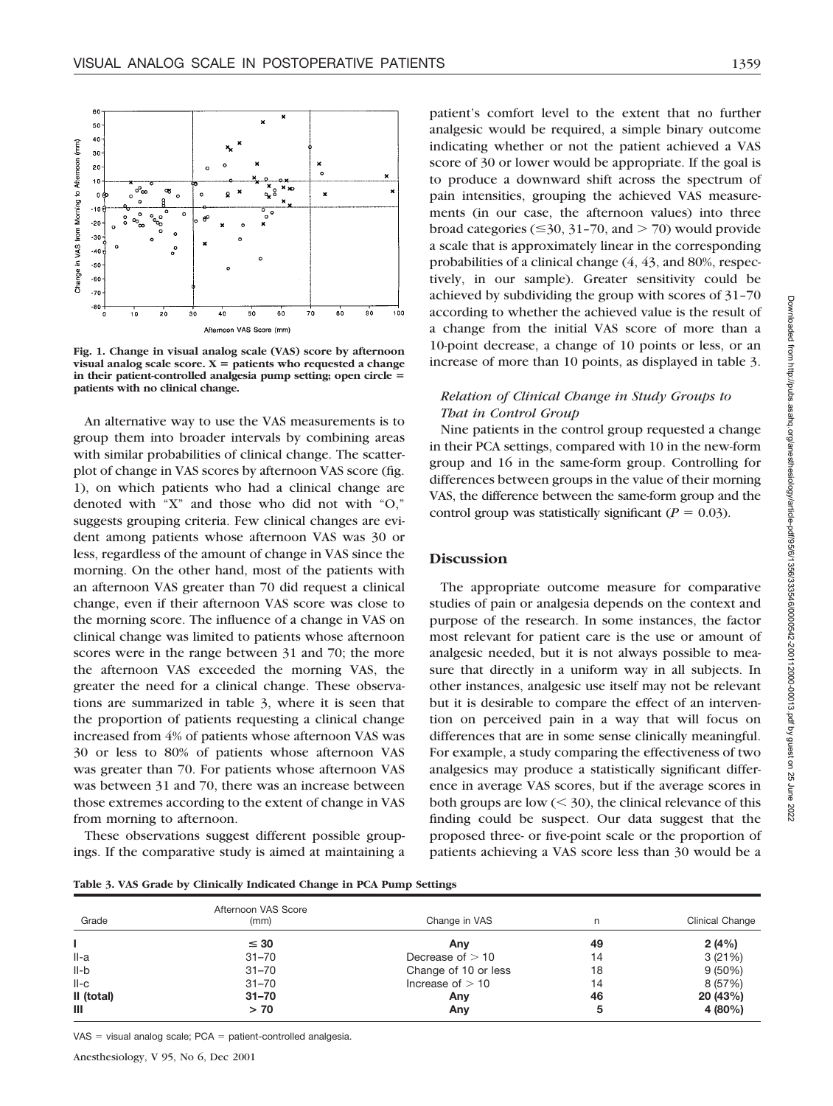

**Fig. 1. Change in visual analog scale (VAS) score by afternoon** visual analog scale score.  $X =$  patients who requested a change **in their patient-controlled analgesia pump setting; open circle patients with no clinical change.**

An alternative way to use the VAS measurements is to group them into broader intervals by combining areas with similar probabilities of clinical change. The scatterplot of change in VAS scores by afternoon VAS score (fig. 1), on which patients who had a clinical change are denoted with "X" and those who did not with "O," suggests grouping criteria. Few clinical changes are evident among patients whose afternoon VAS was 30 or less, regardless of the amount of change in VAS since the morning. On the other hand, most of the patients with an afternoon VAS greater than 70 did request a clinical change, even if their afternoon VAS score was close to the morning score. The influence of a change in VAS on clinical change was limited to patients whose afternoon scores were in the range between 31 and 70; the more the afternoon VAS exceeded the morning VAS, the greater the need for a clinical change. These observations are summarized in table 3, where it is seen that the proportion of patients requesting a clinical change increased from 4% of patients whose afternoon VAS was 30 or less to 80% of patients whose afternoon VAS was greater than 70. For patients whose afternoon VAS was between 31 and 70, there was an increase between those extremes according to the extent of change in VAS from morning to afternoon.

These observations suggest different possible groupings. If the comparative study is aimed at maintaining a

patient's comfort level to the extent that no further analgesic would be required, a simple binary outcome indicating whether or not the patient achieved a VAS score of 30 or lower would be appropriate. If the goal is to produce a downward shift across the spectrum of pain intensities, grouping the achieved VAS measurements (in our case, the afternoon values) into three broad categories ( $\leq 30$ , 31–70, and  $>$  70) would provide a scale that is approximately linear in the corresponding probabilities of a clinical change (4, 43, and 80%, respectively, in our sample). Greater sensitivity could be achieved by subdividing the group with scores of 31–70 according to whether the achieved value is the result of a change from the initial VAS score of more than a 10-point decrease, a change of 10 points or less, or an increase of more than 10 points, as displayed in table 3.

### *Relation of Clinical Change in Study Groups to That in Control Group*

Nine patients in the control group requested a change in their PCA settings, compared with 10 in the new-form group and 16 in the same-form group. Controlling for differences between groups in the value of their morning VAS, the difference between the same-form group and the control group was statistically significant ( $P = 0.03$ ).

#### **Discussion**

The appropriate outcome measure for comparative studies of pain or analgesia depends on the context and purpose of the research. In some instances, the factor most relevant for patient care is the use or amount of analgesic needed, but it is not always possible to measure that directly in a uniform way in all subjects. In other instances, analgesic use itself may not be relevant but it is desirable to compare the effect of an intervention on perceived pain in a way that will focus on differences that are in some sense clinically meaningful. For example, a study comparing the effectiveness of two analgesics may produce a statistically significant difference in average VAS scores, but if the average scores in both groups are low  $(< 30)$ , the clinical relevance of this finding could be suspect. Our data suggest that the proposed three- or five-point scale or the proportion of patients achieving a VAS score less than 30 would be a

**Table 3. VAS Grade by Clinically Indicated Change in PCA Pump Settings**

| Grade      | Afternoon VAS Score<br>(mm) | Change in VAS        | n  | Clinical Change |
|------------|-----------------------------|----------------------|----|-----------------|
|            | $\leq 30$                   | Anv                  | 49 | 2(4%)           |
| II-a       | $31 - 70$                   | Decrease of $> 10$   | 14 | 3(21%)          |
| $II-b$     | $31 - 70$                   | Change of 10 or less | 18 | 9(50%)          |
| $II-C$     | $31 - 70$                   | Increase of $> 10$   | 14 | 8 (57%)         |
| II (total) | $31 - 70$                   | Any                  | 46 | 20 (43%)        |
| Ш          | > 70                        | Any                  | 5  | 4 (80%)         |

VAS = visual analog scale; PCA = patient-controlled analgesia.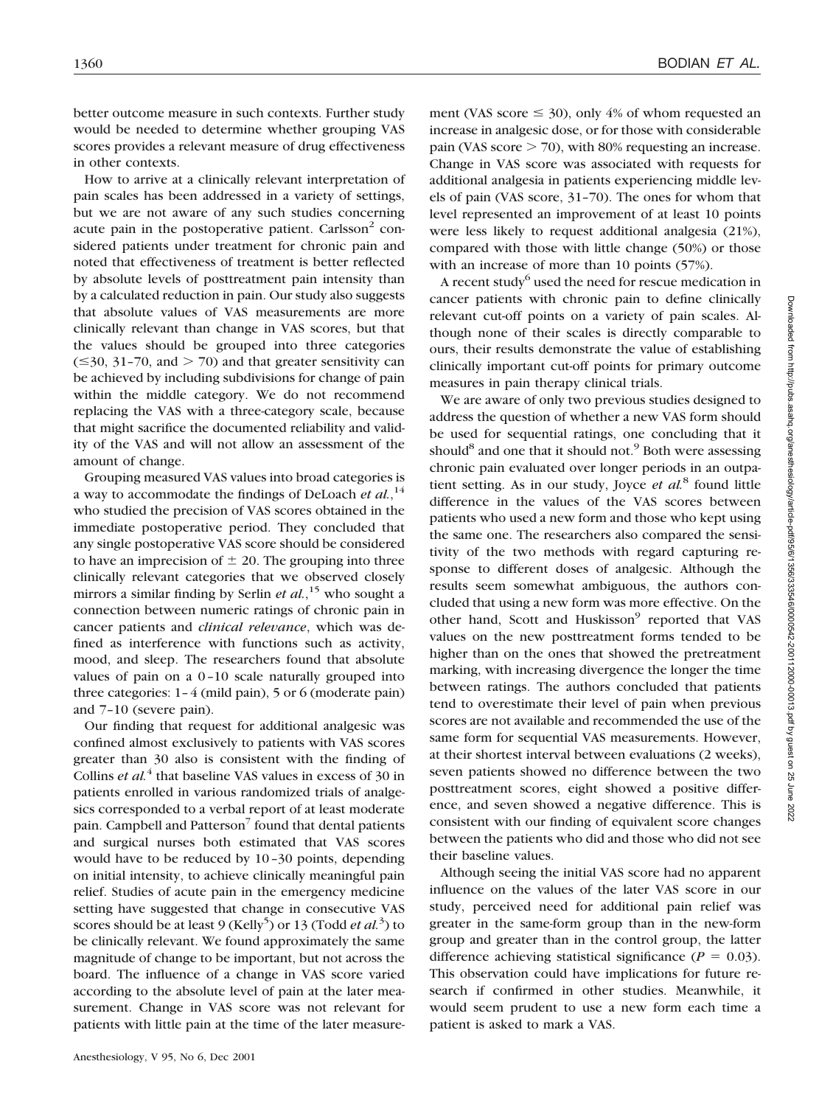better outcome measure in such contexts. Further study would be needed to determine whether grouping VAS scores provides a relevant measure of drug effectiveness in other contexts.

How to arrive at a clinically relevant interpretation of pain scales has been addressed in a variety of settings, but we are not aware of any such studies concerning acute pain in the postoperative patient.  $\text{Carlsson}^2$  considered patients under treatment for chronic pain and noted that effectiveness of treatment is better reflected by absolute levels of posttreatment pain intensity than by a calculated reduction in pain. Our study also suggests that absolute values of VAS measurements are more clinically relevant than change in VAS scores, but that the values should be grouped into three categories  $(\leq 30, 31-70,$  and  $> 70$ ) and that greater sensitivity can be achieved by including subdivisions for change of pain within the middle category. We do not recommend replacing the VAS with a three-category scale, because that might sacrifice the documented reliability and validity of the VAS and will not allow an assessment of the amount of change.

Grouping measured VAS values into broad categories is a way to accommodate the findings of DeLoach *et al.*, 14 who studied the precision of VAS scores obtained in the immediate postoperative period. They concluded that any single postoperative VAS score should be considered to have an imprecision of  $\pm$  20. The grouping into three clinically relevant categories that we observed closely mirrors a similar finding by Serlin *et al.*, <sup>15</sup> who sought a connection between numeric ratings of chronic pain in cancer patients and *clinical relevance*, which was defined as interference with functions such as activity, mood, and sleep. The researchers found that absolute values of pain on a 0–10 scale naturally grouped into three categories: 1–4 (mild pain), 5 or 6 (moderate pain) and 7–10 (severe pain).

Our finding that request for additional analgesic was confined almost exclusively to patients with VAS scores greater than 30 also is consistent with the finding of Collins *et al.*<sup>4</sup> that baseline VAS values in excess of 30 in patients enrolled in various randomized trials of analgesics corresponded to a verbal report of at least moderate pain. Campbell and Patterson<sup>7</sup> found that dental patients and surgical nurses both estimated that VAS scores would have to be reduced by 10–30 points, depending on initial intensity, to achieve clinically meaningful pain relief. Studies of acute pain in the emergency medicine setting have suggested that change in consecutive VAS scores should be at least 9 (Kelly<sup>5</sup>) or 13 (Todd *et al.*<sup>3</sup>) to be clinically relevant. We found approximately the same magnitude of change to be important, but not across the board. The influence of a change in VAS score varied according to the absolute level of pain at the later measurement. Change in VAS score was not relevant for patients with little pain at the time of the later measure-

ment (VAS score  $\leq$  30), only 4% of whom requested an increase in analgesic dose, or for those with considerable pain (VAS score  $>$  70), with 80% requesting an increase. Change in VAS score was associated with requests for additional analgesia in patients experiencing middle levels of pain (VAS score, 31–70). The ones for whom that level represented an improvement of at least 10 points were less likely to request additional analgesia (21%), compared with those with little change (50%) or those with an increase of more than 10 points (57%).

A recent study<sup>6</sup> used the need for rescue medication in cancer patients with chronic pain to define clinically relevant cut-off points on a variety of pain scales. Although none of their scales is directly comparable to ours, their results demonstrate the value of establishing clinically important cut-off points for primary outcome measures in pain therapy clinical trials.

We are aware of only two previous studies designed to address the question of whether a new VAS form should be used for sequential ratings, one concluding that it should<sup>8</sup> and one that it should not.<sup>9</sup> Both were assessing chronic pain evaluated over longer periods in an outpatient setting. As in our study, Joyce *et al.*<sup>8</sup> found little difference in the values of the VAS scores between patients who used a new form and those who kept using the same one. The researchers also compared the sensitivity of the two methods with regard capturing response to different doses of analgesic. Although the results seem somewhat ambiguous, the authors concluded that using a new form was more effective. On the other hand, Scott and Huskisson<sup>9</sup> reported that VAS values on the new posttreatment forms tended to be higher than on the ones that showed the pretreatment marking, with increasing divergence the longer the time between ratings. The authors concluded that patients tend to overestimate their level of pain when previous scores are not available and recommended the use of the same form for sequential VAS measurements. However, at their shortest interval between evaluations (2 weeks), seven patients showed no difference between the two posttreatment scores, eight showed a positive difference, and seven showed a negative difference. This is consistent with our finding of equivalent score changes between the patients who did and those who did not see their baseline values.

Although seeing the initial VAS score had no apparent influence on the values of the later VAS score in our study, perceived need for additional pain relief was greater in the same-form group than in the new-form group and greater than in the control group, the latter difference achieving statistical significance ( $P = 0.03$ ). This observation could have implications for future research if confirmed in other studies. Meanwhile, it would seem prudent to use a new form each time a patient is asked to mark a VAS.